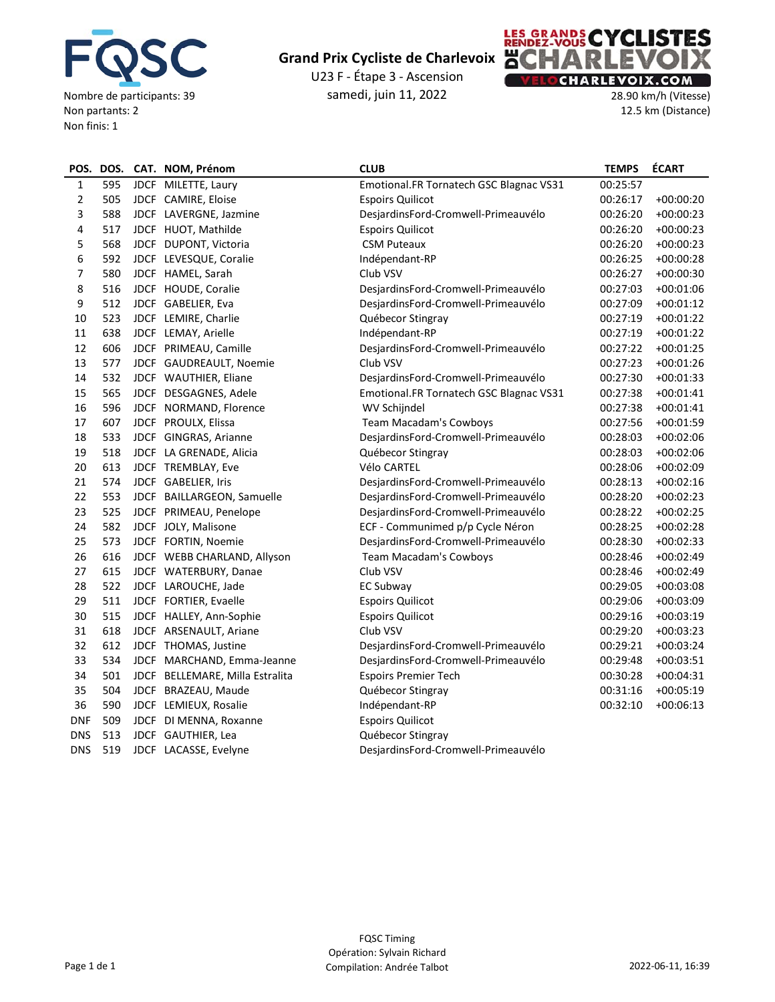

U23 F ‐ Étape 3 ‐ Ascension samedi, juin 11, 2022



28.90 km/h (Vitesse) 12.5 km (Distance)

| POS.           |     | DOS. CAT. NOM, Prénom           | <b>CLUB</b>                             | <b>TEMPS</b> | <b>ÉCART</b> |
|----------------|-----|---------------------------------|-----------------------------------------|--------------|--------------|
| 1              | 595 | JDCF MILETTE, Laury             | Emotional.FR Tornatech GSC Blagnac VS31 | 00:25:57     |              |
| $\overline{2}$ | 505 | JDCF CAMIRE, Eloise             | <b>Espoirs Quilicot</b>                 | 00:26:17     | $+00:00:20$  |
| 3              | 588 | JDCF LAVERGNE, Jazmine          | DesjardinsFord-Cromwell-Primeauvélo     | 00:26:20     | $+00:00:23$  |
| 4              | 517 | JDCF HUOT, Mathilde             | <b>Espoirs Quilicot</b>                 | 00:26:20     | $+00:00:23$  |
| 5              | 568 | JDCF DUPONT, Victoria           | <b>CSM Puteaux</b>                      | 00:26:20     | $+00:00:23$  |
| 6              | 592 | JDCF LEVESQUE, Coralie          | Indépendant-RP                          | 00:26:25     | $+00:00:28$  |
| 7              | 580 | JDCF HAMEL, Sarah               | Club VSV                                | 00:26:27     | $+00:00:30$  |
| 8              | 516 | JDCF HOUDE, Coralie             | DesjardinsFord-Cromwell-Primeauvélo     | 00:27:03     | $+00:01:06$  |
| 9              | 512 | JDCF GABELIER, Eva              | DesjardinsFord-Cromwell-Primeauvélo     | 00:27:09     | $+00:01:12$  |
| 10             | 523 | JDCF LEMIRE, Charlie            | Québecor Stingray                       | 00:27:19     | $+00:01:22$  |
| 11             | 638 | JDCF LEMAY, Arielle             | Indépendant-RP                          | 00:27:19     | $+00:01:22$  |
| 12             | 606 | JDCF PRIMEAU, Camille           | DesjardinsFord-Cromwell-Primeauvélo     | 00:27:22     | $+00:01:25$  |
| 13             | 577 | JDCF GAUDREAULT, Noemie         | Club VSV                                | 00:27:23     | $+00:01:26$  |
| 14             | 532 | JDCF WAUTHIER, Eliane           | DesjardinsFord-Cromwell-Primeauvélo     | 00:27:30     | $+00:01:33$  |
| 15             | 565 | JDCF DESGAGNES, Adele           | Emotional.FR Tornatech GSC Blagnac VS31 | 00:27:38     | $+00:01:41$  |
| 16             | 596 | JDCF NORMAND, Florence          | WV Schijndel                            | 00:27:38     | $+00:01:41$  |
| 17             | 607 | JDCF PROULX, Elissa             | <b>Team Macadam's Cowboys</b>           | 00:27:56     | $+00:01:59$  |
| 18             | 533 | JDCF GINGRAS, Arianne           | DesjardinsFord-Cromwell-Primeauvélo     | 00:28:03     | $+00:02:06$  |
| 19             | 518 | JDCF LA GRENADE, Alicia         | Québecor Stingray                       | 00:28:03     | $+00:02:06$  |
| 20             | 613 | JDCF TREMBLAY, Eve              | Vélo CARTEL                             | 00:28:06     | $+00:02:09$  |
| 21             | 574 | JDCF GABELIER, Iris             | DesjardinsFord-Cromwell-Primeauvélo     | 00:28:13     | $+00:02:16$  |
| 22             | 553 | JDCF BAILLARGEON, Samuelle      | DesjardinsFord-Cromwell-Primeauvélo     | 00:28:20     | $+00:02:23$  |
| 23             | 525 | JDCF PRIMEAU, Penelope          | DesjardinsFord-Cromwell-Primeauvélo     | 00:28:22     | $+00:02:25$  |
| 24             | 582 | JDCF JOLY, Malisone             | ECF - Communimed p/p Cycle Néron        | 00:28:25     | $+00:02:28$  |
| 25             | 573 | JDCF FORTIN, Noemie             | DesjardinsFord-Cromwell-Primeauvélo     | 00:28:30     | $+00:02:33$  |
| 26             | 616 | JDCF WEBB CHARLAND, Allyson     | Team Macadam's Cowboys                  | 00:28:46     | $+00:02:49$  |
| 27             | 615 | JDCF WATERBURY, Danae           | Club VSV                                | 00:28:46     | $+00:02:49$  |
| 28             | 522 | JDCF LAROUCHE, Jade             | EC Subway                               | 00:29:05     | $+00:03:08$  |
| 29             | 511 | JDCF FORTIER, Evaelle           | <b>Espoirs Quilicot</b>                 | 00:29:06     | $+00:03:09$  |
| 30             | 515 | JDCF HALLEY, Ann-Sophie         | <b>Espoirs Quilicot</b>                 | 00:29:16     | $+00:03:19$  |
| 31             | 618 | JDCF ARSENAULT, Ariane          | Club VSV                                | 00:29:20     | $+00:03:23$  |
| 32             | 612 | JDCF THOMAS, Justine            | DesjardinsFord-Cromwell-Primeauvélo     | 00:29:21     | $+00:03:24$  |
| 33             | 534 | JDCF MARCHAND, Emma-Jeanne      | DesjardinsFord-Cromwell-Primeauvélo     | 00:29:48     | $+00:03:51$  |
| 34             | 501 | JDCF BELLEMARE, Milla Estralita | <b>Espoirs Premier Tech</b>             | 00:30:28     | $+00:04:31$  |
| 35             | 504 | JDCF BRAZEAU, Maude             | Québecor Stingray                       | 00:31:16     | $+00:05:19$  |
| 36             | 590 | JDCF LEMIEUX, Rosalie           | Indépendant-RP                          | 00:32:10     | $+00:06:13$  |
| <b>DNF</b>     | 509 | JDCF DI MENNA, Roxanne          | <b>Espoirs Quilicot</b>                 |              |              |
| <b>DNS</b>     | 513 | JDCF GAUTHIER, Lea              | Québecor Stingray                       |              |              |
| <b>DNS</b>     | 519 | JDCF LACASSE, Evelyne           | DesjardinsFord-Cromwell-Primeauvélo     |              |              |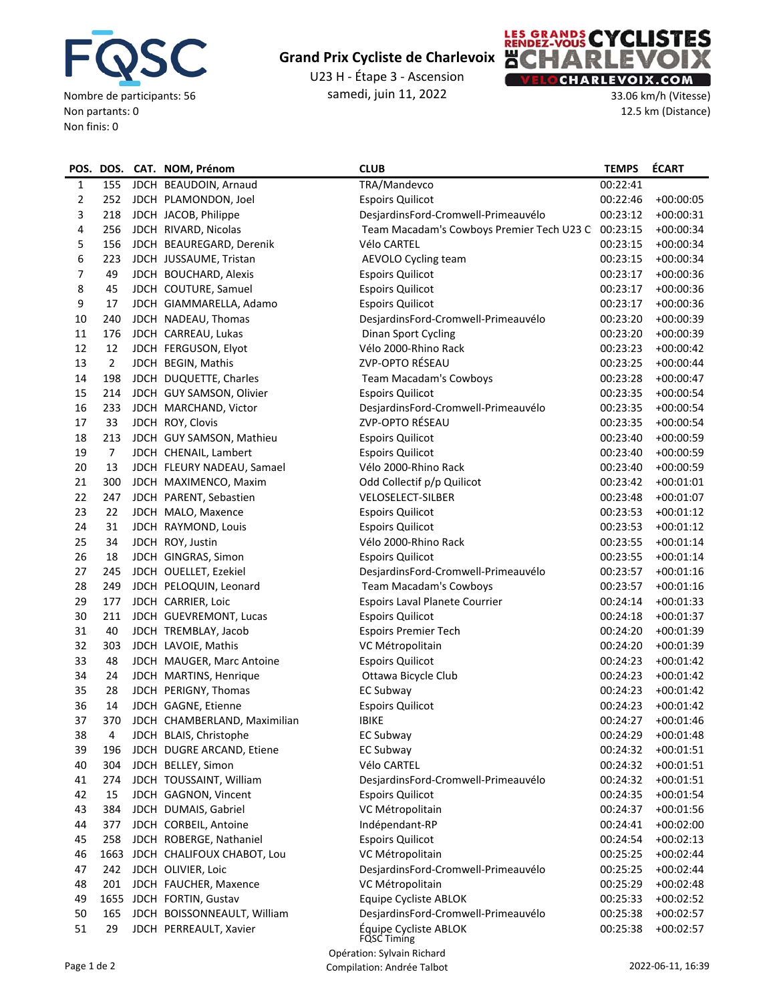

U23 H ‐ Étape 3 ‐ Ascension samedi, juin 11, 2022



33.06 km/h (Vitesse) 12.5 km (Distance)

|              |                | POS. DOS. CAT. NOM, Prénom   | <b>CLUB</b>                                      | <b>TEMPS</b> | <b>ÉCART</b> |
|--------------|----------------|------------------------------|--------------------------------------------------|--------------|--------------|
| $\mathbf{1}$ | 155            | JDCH BEAUDOIN, Arnaud        | TRA/Mandevco                                     | 00:22:41     |              |
| 2            | 252            | JDCH PLAMONDON, Joel         | <b>Espoirs Quilicot</b>                          | 00:22:46     | $+00:00:05$  |
| 3            | 218            | JDCH JACOB, Philippe         | DesjardinsFord-Cromwell-Primeauvélo              | 00:23:12     | $+00:00:31$  |
| 4            | 256            | JDCH RIVARD, Nicolas         | Team Macadam's Cowboys Premier Tech U23 C        | 00:23:15     | $+00:00:34$  |
| 5            | 156            | JDCH BEAUREGARD, Derenik     | Vélo CARTEL                                      | 00:23:15     | $+00:00:34$  |
| 6            | 223            | JDCH JUSSAUME, Tristan       | AEVOLO Cycling team                              | 00:23:15     | $+00:00:34$  |
| 7            | 49             | JDCH BOUCHARD, Alexis        | <b>Espoirs Quilicot</b>                          | 00:23:17     | $+00:00:36$  |
| 8            | 45             | JDCH COUTURE, Samuel         | <b>Espoirs Quilicot</b>                          | 00:23:17     | $+00:00:36$  |
| 9            | 17             | JDCH GIAMMARELLA, Adamo      | <b>Espoirs Quilicot</b>                          | 00:23:17     | $+00:00:36$  |
| 10           | 240            | JDCH NADEAU, Thomas          | DesjardinsFord-Cromwell-Primeauvélo              | 00:23:20     | $+00:00:39$  |
| $11\,$       | 176            | JDCH CARREAU, Lukas          | Dinan Sport Cycling                              | 00:23:20     | $+00:00:39$  |
| 12           | 12             | JDCH FERGUSON, Elyot         | Vélo 2000-Rhino Rack                             | 00:23:23     | $+00:00:42$  |
| 13           | $\overline{2}$ | JDCH BEGIN, Mathis           | ZVP-OPTO RÉSEAU                                  | 00:23:25     | $+00:00:44$  |
| 14           | 198            | JDCH DUQUETTE, Charles       | Team Macadam's Cowboys                           | 00:23:28     | $+00:00:47$  |
| 15           | 214            | JDCH GUY SAMSON, Olivier     | <b>Espoirs Quilicot</b>                          | 00:23:35     | $+00:00:54$  |
| 16           | 233            | JDCH MARCHAND, Victor        | DesjardinsFord-Cromwell-Primeauvélo              | 00:23:35     | $+00:00:54$  |
| 17           | 33             | JDCH ROY, Clovis             | ZVP-OPTO RÉSEAU                                  | 00:23:35     | $+00:00:54$  |
| 18           | 213            | JDCH GUY SAMSON, Mathieu     | <b>Espoirs Quilicot</b>                          | 00:23:40     | $+00:00:59$  |
| 19           | $\overline{7}$ | JDCH CHENAIL, Lambert        | <b>Espoirs Quilicot</b>                          | 00:23:40     | $+00:00:59$  |
| 20           | 13             | JDCH FLEURY NADEAU, Samael   | Vélo 2000-Rhino Rack                             | 00:23:40     | $+00:00:59$  |
| 21           | 300            | JDCH MAXIMENCO, Maxim        | Odd Collectif p/p Quilicot                       | 00:23:42     | $+00:01:01$  |
| 22           | 247            | JDCH PARENT, Sebastien       | <b>VELOSELECT-SILBER</b>                         | 00:23:48     | $+00:01:07$  |
| 23           | 22             | JDCH MALO, Maxence           | <b>Espoirs Quilicot</b>                          | 00:23:53     | $+00:01:12$  |
| 24           | 31             | JDCH RAYMOND, Louis          | <b>Espoirs Quilicot</b>                          | 00:23:53     | $+00:01:12$  |
| 25           | 34             | JDCH ROY, Justin             | Vélo 2000-Rhino Rack                             | 00:23:55     | $+00:01:14$  |
| 26           | 18             | JDCH GINGRAS, Simon          | <b>Espoirs Quilicot</b>                          | 00:23:55     | $+00:01:14$  |
| 27           | 245            | JDCH OUELLET, Ezekiel        | DesjardinsFord-Cromwell-Primeauvélo              | 00:23:57     | $+00:01:16$  |
| 28           | 249            | JDCH PELOQUIN, Leonard       | Team Macadam's Cowboys                           | 00:23:57     | $+00:01:16$  |
| 29           | 177            | JDCH CARRIER, Loic           | Espoirs Laval Planete Courrier                   | 00:24:14     | $+00:01:33$  |
| 30           | 211            | JDCH GUEVREMONT, Lucas       | <b>Espoirs Quilicot</b>                          | 00:24:18     | $+00:01:37$  |
| 31           | 40             | JDCH TREMBLAY, Jacob         | <b>Espoirs Premier Tech</b>                      | 00:24:20     | $+00:01:39$  |
| 32           | 303            | JDCH LAVOIE, Mathis          | VC Métropolitain                                 | 00:24:20     | $+00:01:39$  |
| 33           | 48             | JDCH MAUGER, Marc Antoine    | <b>Espoirs Quilicot</b>                          | 00:24:23     | $+00:01:42$  |
| 34           | 24             | JDCH MARTINS, Henrique       | Ottawa Bicycle Club                              | 00:24:23     | $+00:01:42$  |
| 35           | 28             | JDCH PERIGNY, Thomas         | EC Subway                                        | 00:24:23     | $+00:01:42$  |
| 36           | 14             | JDCH GAGNE, Etienne          | <b>Espoirs Quilicot</b>                          | 00:24:23     | $+00:01:42$  |
| 37           | 370            | JDCH CHAMBERLAND, Maximilian | <b>IBIKE</b>                                     | 00:24:27     | $+00:01:46$  |
| 38           | 4              | JDCH BLAIS, Christophe       | <b>EC Subway</b>                                 | 00:24:29     | $+00:01:48$  |
| 39           | 196            | JDCH DUGRE ARCAND, Etiene    | <b>EC Subway</b>                                 | 00:24:32     | $+00:01:51$  |
| 40           | 304            | JDCH BELLEY, Simon           | Vélo CARTEL                                      | 00:24:32     | $+00:01:51$  |
| 41           | 274            | JDCH TOUSSAINT, William      | DesjardinsFord-Cromwell-Primeauvélo              | 00:24:32     | $+00:01:51$  |
| 42           | 15             | JDCH GAGNON, Vincent         | <b>Espoirs Quilicot</b>                          | 00:24:35     | $+00:01:54$  |
| 43           | 384            | JDCH DUMAIS, Gabriel         | VC Métropolitain                                 | 00:24:37     | $+00:01:56$  |
| 44           | 377            | JDCH CORBEIL, Antoine        | Indépendant-RP                                   | 00:24:41     | $+00:02:00$  |
| 45           | 258            | JDCH ROBERGE, Nathaniel      | <b>Espoirs Quilicot</b>                          | 00:24:54     | $+00:02:13$  |
| 46           | 1663           | JDCH CHALIFOUX CHABOT, Lou   | VC Métropolitain                                 | 00:25:25     | $+00:02:44$  |
| 47           | 242            | JDCH OLIVIER, Loic           | DesjardinsFord-Cromwell-Primeauvélo              | 00:25:25     | $+00:02:44$  |
| 48           | 201            | JDCH FAUCHER, Maxence        | VC Métropolitain                                 | 00:25:29     | $+00:02:48$  |
| 49           |                | 1655 JDCH FORTIN, Gustav     | Equipe Cycliste ABLOK                            | 00:25:33     | $+00:02:52$  |
| 50           | 165            | JDCH BOISSONNEAULT, William  | DesjardinsFord-Cromwell-Primeauvélo              | 00:25:38     | $+00:02:57$  |
| 51           | 29             | JDCH PERREAULT, Xavier       | Équipe Cycliste ABLOK                            | 00:25:38     | $+00:02:57$  |
|              |                |                              | <b>FQSC Timing</b><br>Onáration: Culusin Dichard |              |              |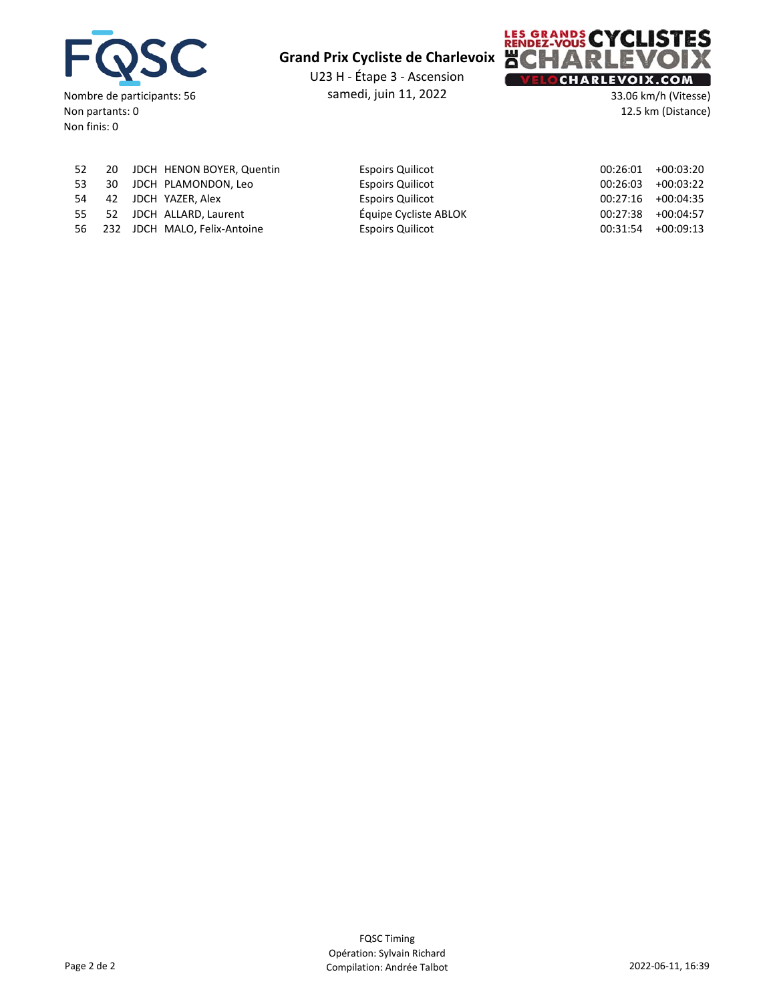

U23 H ‐ Étape 3 ‐ Ascension samedi, juin 11, 2022



33.06 km/h (Vitesse) 12.5 km (Distance)

|  | 52 20 JDCH HENON BOYER, Quentin | <b>Espoirs Quilicot</b> | 00:26:01             | $+00:03:20$ |
|--|---------------------------------|-------------------------|----------------------|-------------|
|  | 53 30 JDCH PLAMONDON, Leo       | <b>Espoirs Quilicot</b> | 00:26:03             | $+00:03:22$ |
|  | 54 42 JDCH YAZER, Alex          | <b>Espoirs Quilicot</b> | $00:27:16$ +00:04:35 |             |
|  | 55 52 JDCH ALLARD, Laurent      | Équipe Cycliste ABLOK   | $00:27:38$ +00:04:57 |             |
|  | 56 232 JDCH MALO, Felix-Antoine | <b>Espoirs Quilicot</b> | $00:31:54$ +00:09:13 |             |
|  |                                 |                         |                      |             |

| <b>ESPOILS QUILCOT</b>  |
|-------------------------|
| <b>Espoirs Quilicot</b> |
| <b>Espoirs Quilicot</b> |
| Équipe Cycliste ABLOK   |
| <b>Espoirs Quilicot</b> |

| 00:26:01 | +00:03:20   |
|----------|-------------|
| 00:26:03 | +00:03:22   |
| 00:27:16 | $+00:04:35$ |
| 00:27:38 | +00:04:57   |
| 00:31:54 | +00:09:13   |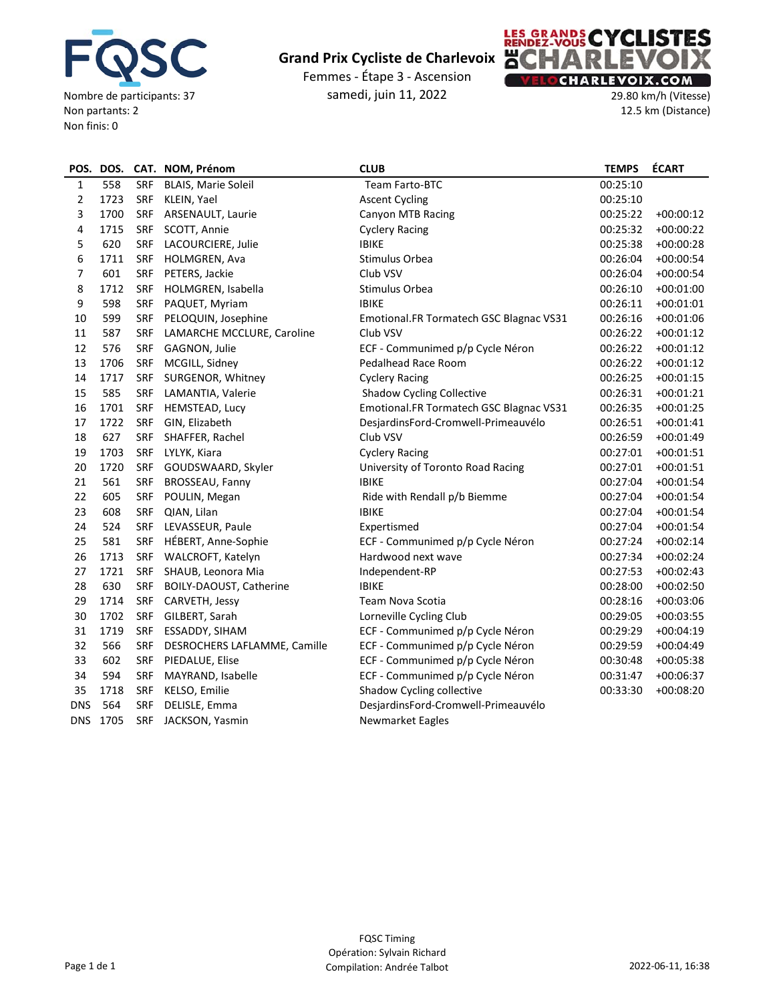

Femmes ‐ Étape 3 ‐ Ascension samedi, juin 11, 2022

![](_page_3_Picture_3.jpeg)

29.80 km/h (Vitesse) 12.5 km (Distance)

| POS.       |          |            | DOS. CAT. NOM, Prénom        | <b>CLUB</b>                             | <b>TEMPS</b> | <b>ÉCART</b> |
|------------|----------|------------|------------------------------|-----------------------------------------|--------------|--------------|
| 1          | 558      | <b>SRF</b> | <b>BLAIS, Marie Soleil</b>   | Team Farto-BTC                          | 00:25:10     |              |
| 2          | 1723     | SRF        | KLEIN, Yael                  | <b>Ascent Cycling</b>                   | 00:25:10     |              |
| 3          | 1700     | <b>SRF</b> | ARSENAULT, Laurie            | Canyon MTB Racing                       | 00:25:22     | $+00:00:12$  |
| 4          | 1715     | <b>SRF</b> | SCOTT, Annie                 | <b>Cyclery Racing</b>                   | 00:25:32     | $+00:00:22$  |
| 5          | 620      | <b>SRF</b> | LACOURCIERE, Julie           | <b>IBIKE</b>                            | 00:25:38     | $+00:00:28$  |
| 6          | 1711     | SRF        | HOLMGREN, Ava                | Stimulus Orbea                          | 00:26:04     | $+00:00:54$  |
| 7          | 601      | SRF        | PETERS, Jackie               | Club VSV                                | 00:26:04     | $+00:00:54$  |
| 8          | 1712     | <b>SRF</b> | HOLMGREN, Isabella           | Stimulus Orbea                          | 00:26:10     | $+00:01:00$  |
| 9          | 598      | SRF        | PAQUET, Myriam               | <b>IBIKE</b>                            | 00:26:11     | $+00:01:01$  |
| 10         | 599      | SRF        | PELOQUIN, Josephine          | Emotional.FR Tormatech GSC Blagnac VS31 | 00:26:16     | $+00:01:06$  |
| 11         | 587      | SRF        | LAMARCHE MCCLURE, Caroline   | Club VSV                                | 00:26:22     | $+00:01:12$  |
| 12         | 576      | SRF        | GAGNON, Julie                | ECF - Communimed p/p Cycle Néron        | 00:26:22     | $+00:01:12$  |
| 13         | 1706     | SRF        | MCGILL, Sidney               | Pedalhead Race Room                     | 00:26:22     | $+00:01:12$  |
| 14         | 1717     | SRF        | SURGENOR, Whitney            | <b>Cyclery Racing</b>                   | 00:26:25     | $+00:01:15$  |
| 15         | 585      | SRF        | LAMANTIA, Valerie            | <b>Shadow Cycling Collective</b>        | 00:26:31     | $+00:01:21$  |
| 16         | 1701     | <b>SRF</b> | HEMSTEAD, Lucy               | Emotional.FR Tormatech GSC Blagnac VS31 | 00:26:35     | $+00:01:25$  |
| 17         | 1722     | <b>SRF</b> | GIN, Elizabeth               | DesjardinsFord-Cromwell-Primeauvélo     | 00:26:51     | $+00:01:41$  |
| 18         | 627      | <b>SRF</b> | SHAFFER, Rachel              | Club VSV                                | 00:26:59     | $+00:01:49$  |
| 19         | 1703     | SRF        | LYLYK, Kiara                 | <b>Cyclery Racing</b>                   | 00:27:01     | $+00:01:51$  |
| 20         | 1720     | <b>SRF</b> | GOUDSWAARD, Skyler           | University of Toronto Road Racing       | 00:27:01     | $+00:01:51$  |
| 21         | 561      | <b>SRF</b> | BROSSEAU, Fanny              | <b>IBIKE</b>                            | 00:27:04     | $+00:01:54$  |
| 22         | 605      | <b>SRF</b> | POULIN, Megan                | Ride with Rendall p/b Biemme            | 00:27:04     | $+00:01:54$  |
| 23         | 608      | SRF        | QIAN, Lilan                  | <b>IBIKE</b>                            | 00:27:04     | $+00:01:54$  |
| 24         | 524      | <b>SRF</b> | LEVASSEUR, Paule             | Expertismed                             | 00:27:04     | $+00:01:54$  |
| 25         | 581      | <b>SRF</b> | HÉBERT, Anne-Sophie          | ECF - Communimed p/p Cycle Néron        | 00:27:24     | $+00:02:14$  |
| 26         | 1713     | <b>SRF</b> | WALCROFT, Katelyn            | Hardwood next wave                      | 00:27:34     | $+00:02:24$  |
| 27         | 1721     | <b>SRF</b> | SHAUB, Leonora Mia           | Independent-RP                          | 00:27:53     | $+00:02:43$  |
| 28         | 630      | <b>SRF</b> | BOILY-DAOUST, Catherine      | <b>IBIKE</b>                            | 00:28:00     | $+00:02:50$  |
| 29         | 1714     | SRF        | CARVETH, Jessy               | Team Nova Scotia                        | 00:28:16     | $+00:03:06$  |
| 30         | 1702     | SRF        | GILBERT, Sarah               | Lorneville Cycling Club                 | 00:29:05     | $+00:03:55$  |
| 31         | 1719     | SRF        | ESSADDY, SIHAM               | ECF - Communimed p/p Cycle Néron        | 00:29:29     | $+00:04:19$  |
| 32         | 566      | <b>SRF</b> | DESROCHERS LAFLAMME, Camille | ECF - Communimed p/p Cycle Néron        | 00:29:59     | $+00:04:49$  |
| 33         | 602      | <b>SRF</b> | PIEDALUE, Elise              | ECF - Communimed p/p Cycle Néron        | 00:30:48     | $+00:05:38$  |
| 34         | 594      | <b>SRF</b> | MAYRAND, Isabelle            | ECF - Communimed p/p Cycle Néron        | 00:31:47     | $+00:06:37$  |
| 35         | 1718     | <b>SRF</b> | KELSO, Emilie                | Shadow Cycling collective               | 00:33:30     | $+00:08:20$  |
| <b>DNS</b> | 564      | <b>SRF</b> | DELISLE, Emma                | DesjardinsFord-Cromwell-Primeauvélo     |              |              |
|            | DNS 1705 | <b>SRF</b> | JACKSON, Yasmin              | Newmarket Eagles                        |              |              |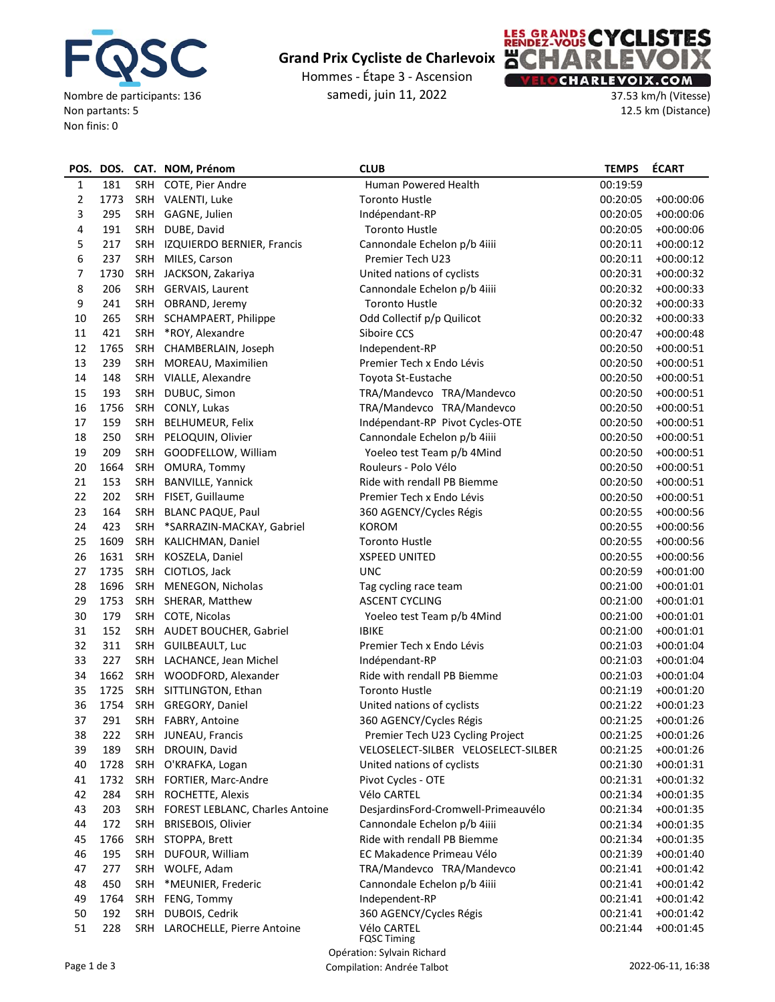![](_page_4_Picture_0.jpeg)

Hommes ‐ Étape 3 ‐ Ascension samedi, juin 11, 2022

![](_page_4_Picture_3.jpeg)

37.53 km/h (Vitesse) 12.5 km (Distance)

| POS.           |                                                  |            | DOS. CAT. NOM, Prénom                  | <b>CLUB</b>                         | <b>TEMPS</b> | <b>ÉCART</b> |  |
|----------------|--------------------------------------------------|------------|----------------------------------------|-------------------------------------|--------------|--------------|--|
| $\mathbf{1}$   | 181                                              |            | SRH COTE, Pier Andre                   | Human Powered Health                | 00:19:59     |              |  |
| $\overline{2}$ | 1773                                             |            | SRH VALENTI, Luke                      | <b>Toronto Hustle</b>               | 00:20:05     | $+00:00:06$  |  |
| 3              | 295                                              |            | SRH GAGNE, Julien                      | Indépendant-RP                      | 00:20:05     | $+00:00:06$  |  |
| 4              | 191                                              |            | SRH DUBE, David                        | <b>Toronto Hustle</b>               | 00:20:05     | $+00:00:06$  |  |
| 5              | 217                                              |            | SRH IZQUIERDO BERNIER, Francis         | Cannondale Echelon p/b 4iiii        | 00:20:11     | $+00:00:12$  |  |
| 6              | 237                                              |            | SRH MILES, Carson                      | Premier Tech U23                    | 00:20:11     | $+00:00:12$  |  |
| 7              | 1730                                             |            | SRH JACKSON, Zakariya                  | United nations of cyclists          | 00:20:31     | $+00:00:32$  |  |
| 8              | 206                                              |            | SRH GERVAIS, Laurent                   | Cannondale Echelon p/b 4iiii        | 00:20:32     | $+00:00:33$  |  |
| 9              | 241                                              |            | SRH OBRAND, Jeremy                     | <b>Toronto Hustle</b>               | 00:20:32     | $+00:00:33$  |  |
| 10             | 265                                              |            | SRH SCHAMPAERT, Philippe               | Odd Collectif p/p Quilicot          | 00:20:32     | $+00:00:33$  |  |
| 11             | 421                                              |            | SRH *ROY, Alexandre                    | Siboire CCS                         | 00:20:47     | $+00:00:48$  |  |
| 12             | 1765                                             |            | SRH CHAMBERLAIN, Joseph                | Independent-RP                      | 00:20:50     | $+00:00:51$  |  |
| 13             | 239                                              |            | SRH MOREAU, Maximilien                 | Premier Tech x Endo Lévis           | 00:20:50     | $+00:00:51$  |  |
| 14             | 148                                              |            | SRH VIALLE, Alexandre                  | Toyota St-Eustache                  | 00:20:50     | $+00:00:51$  |  |
| 15             | 193                                              | SRH        | DUBUC, Simon                           | TRA/Mandevco TRA/Mandevco           | 00:20:50     | $+00:00:51$  |  |
| 16             | 1756                                             |            | SRH CONLY, Lukas                       | TRA/Mandevco TRA/Mandevco           | 00:20:50     | $+00:00:51$  |  |
| 17             | 159                                              | SRH        | <b>BELHUMEUR, Felix</b>                | Indépendant-RP Pivot Cycles-OTE     | 00:20:50     | $+00:00:51$  |  |
| 18             | 250                                              |            | SRH PELOQUIN, Olivier                  | Cannondale Echelon p/b 4iiii        | 00:20:50     | $+00:00:51$  |  |
| 19             | 209                                              |            | SRH GOODFELLOW, William                | Yoeleo test Team p/b 4Mind          | 00:20:50     | $+00:00:51$  |  |
| 20             | 1664                                             |            | SRH OMURA, Tommy                       | Rouleurs - Polo Vélo                | 00:20:50     | $+00:00:51$  |  |
| 21             | 153                                              | SRH        | <b>BANVILLE, Yannick</b>               | Ride with rendall PB Biemme         | 00:20:50     | $+00:00:51$  |  |
| 22             | 202                                              |            | SRH FISET, Guillaume                   | Premier Tech x Endo Lévis           | 00:20:50     | $+00:00:51$  |  |
| 23             | 164                                              | SRH        | <b>BLANC PAQUE, Paul</b>               | 360 AGENCY/Cycles Régis             | 00:20:55     | $+00:00:56$  |  |
| 24             | 423                                              | <b>SRH</b> | *SARRAZIN-MACKAY, Gabriel              | <b>KOROM</b>                        | 00:20:55     | $+00:00:56$  |  |
| 25             | 1609                                             | SRH        | KALICHMAN, Daniel                      | <b>Toronto Hustle</b>               | 00:20:55     | $+00:00:56$  |  |
| 26             | 1631                                             | SRH        | KOSZELA, Daniel                        | <b>XSPEED UNITED</b>                | 00:20:55     | $+00:00:56$  |  |
| 27             | 1735                                             | SRH        | CIOTLOS, Jack                          | <b>UNC</b>                          | 00:20:59     | $+00:01:00$  |  |
| 28             | 1696                                             | SRH        | MENEGON, Nicholas                      | Tag cycling race team               | 00:21:00     | $+00:01:01$  |  |
| 29             | 1753                                             |            | SRH SHERAR, Matthew                    | <b>ASCENT CYCLING</b>               | 00:21:00     | $+00:01:01$  |  |
| 30             | 179                                              |            | SRH COTE, Nicolas                      | Yoeleo test Team p/b 4Mind          | 00:21:00     | $+00:01:01$  |  |
| 31             | 152                                              |            | SRH AUDET BOUCHER, Gabriel             | <b>IBIKE</b>                        | 00:21:00     | $+00:01:01$  |  |
| 32             | 311                                              |            | SRH GUILBEAULT, Luc                    | Premier Tech x Endo Lévis           | 00:21:03     | $+00:01:04$  |  |
| 33             | 227                                              |            | SRH LACHANCE, Jean Michel              | Indépendant-RP                      | 00:21:03     | $+00:01:04$  |  |
| 34             | 1662                                             |            | SRH WOODFORD, Alexander                | Ride with rendall PB Biemme         | 00:21:03     | $+00:01:04$  |  |
| 35             | 1725                                             |            | SRH SITTLINGTON, Ethan                 | Toronto Hustle                      | 00:21:19     | $+00:01:20$  |  |
| 36             | 1754                                             |            | SRH GREGORY, Daniel                    | United nations of cyclists          | 00:21:22     | $+00:01:23$  |  |
| 37             | 291                                              |            | SRH FABRY, Antoine                     | 360 AGENCY/Cycles Régis             | 00:21:25     | $+00:01:26$  |  |
| 38             | 222                                              |            | SRH JUNEAU, Francis                    | Premier Tech U23 Cycling Project    | 00:21:25     | $+00:01:26$  |  |
| 39             | 189                                              | SRH        | DROUIN, David                          | VELOSELECT-SILBER VELOSELECT-SILBER | 00:21:25     | $+00:01:26$  |  |
| 40             | 1728                                             | SRH        | O'KRAFKA, Logan                        | United nations of cyclists          | 00:21:30     | $+00:01:31$  |  |
| 41             | 1732                                             | SRH        | FORTIER, Marc-Andre                    | Pivot Cycles - OTE                  | 00:21:31     | $+00:01:32$  |  |
| 42             | 284                                              | SRH        | ROCHETTE, Alexis                       | Vélo CARTEL                         | 00:21:34     | $+00:01:35$  |  |
| 43             | 203                                              | SRH        | <b>FOREST LEBLANC, Charles Antoine</b> | DesjardinsFord-Cromwell-Primeauvélo | 00:21:34     | $+00:01:35$  |  |
| 44             | 172                                              | SRH        | <b>BRISEBOIS, Olivier</b>              | Cannondale Echelon p/b 4iiii        | 00:21:34     | $+00:01:35$  |  |
| 45             | 1766                                             |            | SRH STOPPA, Brett                      | Ride with rendall PB Biemme         | 00:21:34     | $+00:01:35$  |  |
| 46             | 195                                              | SRH        | DUFOUR, William                        | EC Makadence Primeau Vélo           | 00:21:39     | $+00:01:40$  |  |
| 47             | 277                                              |            | SRH WOLFE, Adam                        | TRA/Mandevco TRA/Mandevco           | 00:21:41     | $+00:01:42$  |  |
| 48             | 450                                              | SRH        | *MEUNIER, Frederic                     | Cannondale Echelon p/b 4iiii        | 00:21:41     | $+00:01:42$  |  |
| 49             | 1764                                             | SRH        | FENG, Tommy                            | Independent-RP                      | 00:21:41     | $+00:01:42$  |  |
| 50             | 192                                              | SRH        | DUBOIS, Cedrik                         | 360 AGENCY/Cycles Régis             | 00:21:41     | $+00:01:42$  |  |
| 51             | 228                                              |            | SRH LAROCHELLE, Pierre Antoine         | Vélo CARTEL                         | 00:21:44     | $+00:01:45$  |  |
|                | <b>FQSC Timing</b><br>Opération: Sylvain Richard |            |                                        |                                     |              |              |  |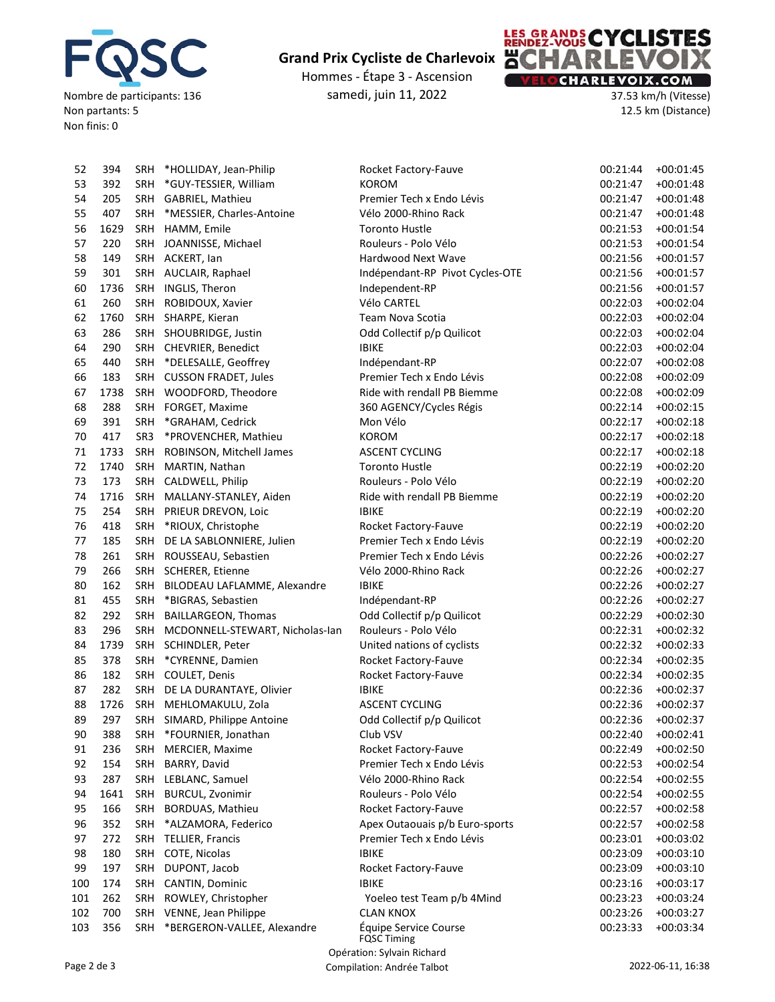![](_page_5_Picture_0.jpeg)

Hommes ‐ Étape 3 ‐ Ascension samedi, juin 11, 2022

![](_page_5_Picture_3.jpeg)

37.53 km/h (Vitesse) 12.5 km (Distance)

| 52  | 394  |                 | SRH *HOLLIDAY, Jean-Philip          | Rocket Factory-Fauve            | 00:21:44 | $+00:01:45$ |
|-----|------|-----------------|-------------------------------------|---------------------------------|----------|-------------|
| 53  | 392  |                 | SRH *GUY-TESSIER, William           | <b>KOROM</b>                    | 00:21:47 | $+00:01:48$ |
| 54  | 205  |                 | SRH GABRIEL, Mathieu                | Premier Tech x Endo Lévis       | 00:21:47 | $+00:01:48$ |
| 55  | 407  |                 | SRH *MESSIER, Charles-Antoine       | Vélo 2000-Rhino Rack            | 00:21:47 | $+00:01:48$ |
| 56  | 1629 |                 | SRH HAMM, Emile                     | <b>Toronto Hustle</b>           | 00:21:53 | $+00:01:54$ |
| 57  | 220  |                 | SRH JOANNISSE, Michael              | Rouleurs - Polo Vélo            | 00:21:53 | $+00:01:54$ |
| 58  | 149  |                 | SRH ACKERT, Ian                     | Hardwood Next Wave              | 00:21:56 | $+00:01:57$ |
| 59  | 301  |                 | SRH AUCLAIR, Raphael                | Indépendant-RP Pivot Cycles-OTE | 00:21:56 | $+00:01:57$ |
| 60  | 1736 |                 | SRH INGLIS, Theron                  | Independent-RP                  | 00:21:56 | $+00:01:57$ |
| 61  | 260  |                 | SRH ROBIDOUX, Xavier                | Vélo CARTEL                     | 00:22:03 | $+00:02:04$ |
| 62  | 1760 |                 | SRH SHARPE, Kieran                  | Team Nova Scotia                | 00:22:03 | $+00:02:04$ |
| 63  | 286  |                 | SRH SHOUBRIDGE, Justin              | Odd Collectif p/p Quilicot      | 00:22:03 | $+00:02:04$ |
| 64  | 290  |                 | SRH CHEVRIER, Benedict              | <b>IBIKE</b>                    | 00:22:03 | $+00:02:04$ |
| 65  | 440  |                 | SRH *DELESALLE, Geoffrey            | Indépendant-RP                  | 00:22:07 | $+00:02:08$ |
| 66  | 183  |                 | SRH CUSSON FRADET, Jules            | Premier Tech x Endo Lévis       | 00:22:08 | $+00:02:09$ |
| 67  | 1738 |                 | SRH WOODFORD, Theodore              | Ride with rendall PB Biemme     | 00:22:08 | $+00:02:09$ |
| 68  | 288  | SRH             | FORGET, Maxime                      | 360 AGENCY/Cycles Régis         | 00:22:14 | $+00:02:15$ |
| 69  | 391  | SRH             | *GRAHAM, Cedrick                    | Mon Vélo                        | 00:22:17 | $+00:02:18$ |
| 70  | 417  | SR <sub>3</sub> | *PROVENCHER, Mathieu                | <b>KOROM</b>                    | 00:22:17 | $+00:02:18$ |
| 71  | 1733 | SRH             | ROBINSON, Mitchell James            | <b>ASCENT CYCLING</b>           | 00:22:17 | $+00:02:18$ |
| 72  | 1740 | SRH             |                                     | <b>Toronto Hustle</b>           | 00:22:19 | $+00:02:20$ |
| 73  | 173  | SRH             | MARTIN, Nathan                      | Rouleurs - Polo Vélo            | 00:22:19 |             |
|     |      |                 | CALDWELL, Philip                    |                                 |          | $+00:02:20$ |
| 74  | 1716 | SRH             | MALLANY-STANLEY, Aiden              | Ride with rendall PB Biemme     | 00:22:19 | $+00:02:20$ |
| 75  | 254  | SRH             | PRIEUR DREVON, Loic                 | <b>IBIKE</b>                    | 00:22:19 | $+00:02:20$ |
| 76  | 418  | SRH             | *RIOUX, Christophe                  | Rocket Factory-Fauve            | 00:22:19 | $+00:02:20$ |
| 77  | 185  |                 | SRH DE LA SABLONNIERE, Julien       | Premier Tech x Endo Lévis       | 00:22:19 | $+00:02:20$ |
| 78  | 261  |                 | SRH ROUSSEAU, Sebastien             | Premier Tech x Endo Lévis       | 00:22:26 | $+00:02:27$ |
| 79  | 266  |                 | SRH SCHERER, Etienne                | Vélo 2000-Rhino Rack            | 00:22:26 | $+00:02:27$ |
| 80  | 162  |                 | SRH BILODEAU LAFLAMME, Alexandre    | <b>IBIKE</b>                    | 00:22:26 | $+00:02:27$ |
| 81  | 455  |                 | SRH *BIGRAS, Sebastien              | Indépendant-RP                  | 00:22:26 | $+00:02:27$ |
| 82  | 292  |                 | SRH BAILLARGEON, Thomas             | Odd Collectif p/p Quilicot      | 00:22:29 | $+00:02:30$ |
| 83  | 296  |                 | SRH MCDONNELL-STEWART, Nicholas-Ian | Rouleurs - Polo Vélo            | 00:22:31 | $+00:02:32$ |
| 84  | 1739 |                 | SRH SCHINDLER, Peter                | United nations of cyclists      | 00:22:32 | $+00:02:33$ |
| 85  | 378  | SRH             | *CYRENNE, Damien                    | Rocket Factory-Fauve            | 00:22:34 | $+00:02:35$ |
| 86  | 182  |                 | SRH COULET, Denis                   | Rocket Factory-Fauve            | 00:22:34 | $+00:02:35$ |
| 87  | 282  |                 | SRH DE LA DURANTAYE, Olivier        | <b>IBIKE</b>                    | 00:22:36 | $+00:02:37$ |
| 88  | 1726 |                 | SRH MEHLOMAKULU, Zola               | <b>ASCENT CYCLING</b>           | 00:22:36 | $+00:02:37$ |
| 89  | 297  |                 | SRH SIMARD, Philippe Antoine        | Odd Collectif p/p Quilicot      | 00:22:36 | $+00:02:37$ |
| 90  | 388  | SRH             | *FOURNIER, Jonathan                 | Club VSV                        | 00:22:40 | $+00:02:41$ |
| 91  | 236  | <b>SRH</b>      | MERCIER, Maxime                     | Rocket Factory-Fauve            | 00:22:49 | $+00:02:50$ |
| 92  | 154  | SRH             | BARRY, David                        | Premier Tech x Endo Lévis       | 00:22:53 | $+00:02:54$ |
| 93  | 287  | SRH             | LEBLANC, Samuel                     | Vélo 2000-Rhino Rack            | 00:22:54 | $+00:02:55$ |
| 94  | 1641 | SRH             | <b>BURCUL, Zvonimir</b>             | Rouleurs - Polo Vélo            | 00:22:54 | $+00:02:55$ |
| 95  | 166  | SRH             | BORDUAS, Mathieu                    | Rocket Factory-Fauve            | 00:22:57 | $+00:02:58$ |
| 96  | 352  | <b>SRH</b>      | *ALZAMORA, Federico                 | Apex Outaouais p/b Euro-sports  | 00:22:57 | $+00:02:58$ |
| 97  | 272  | <b>SRH</b>      | <b>TELLIER, Francis</b>             | Premier Tech x Endo Lévis       | 00:23:01 | $+00:03:02$ |
| 98  | 180  | SRH             | COTE, Nicolas                       | <b>IBIKE</b>                    | 00:23:09 | $+00:03:10$ |
| 99  | 197  | SRH             | DUPONT, Jacob                       | Rocket Factory-Fauve            | 00:23:09 | $+00:03:10$ |
| 100 | 174  | SRH             | CANTIN, Dominic                     | <b>IBIKE</b>                    | 00:23:16 | $+00:03:17$ |
| 101 | 262  | SRH             | ROWLEY, Christopher                 | Yoeleo test Team p/b 4Mind      | 00:23:23 | $+00:03:24$ |
| 102 | 700  |                 | SRH VENNE, Jean Philippe            | <b>CLAN KNOX</b>                | 00:23:26 | $+00:03:27$ |
| 103 | 356  | SRH             | *BERGERON-VALLEE, Alexandre         | Équipe Service Course           | 00:23:33 | $+00:03:34$ |
|     |      |                 |                                     | <b>FQSC Timing</b>              |          |             |
|     |      |                 |                                     | Opération: Sylvain Richard      |          |             |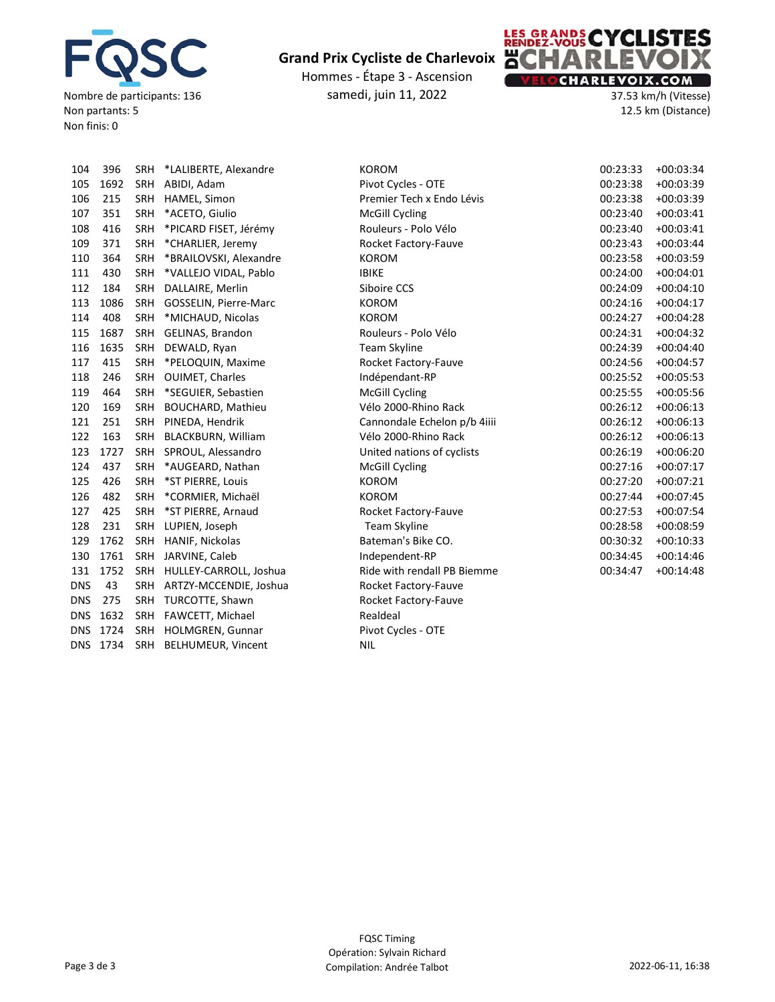![](_page_6_Picture_0.jpeg)

Hommes ‐ Étape 3 ‐ Ascension samedi, juin 11, 2022

![](_page_6_Picture_3.jpeg)

37.53 km/h (Vitesse) 12.5 km (Distance)

| 104        | 396  | <b>SRH</b> | *LALIBERTE, Alexandre     | <b>KOROM</b>             |
|------------|------|------------|---------------------------|--------------------------|
| 105        | 1692 | SRH        | ABIDI, Adam               | Pivot Cycles - OTE       |
| 106        | 215  | <b>SRH</b> | HAMEL, Simon              | Premier Tech x Endo Lé   |
| 107        | 351  | <b>SRH</b> | *ACETO, Giulio            | <b>McGill Cycling</b>    |
| 108        | 416  | <b>SRH</b> | *PICARD FISET, Jérémy     | Rouleurs - Polo Vélo     |
| 109        | 371  | <b>SRH</b> | *CHARLIER, Jeremy         | Rocket Factory-Fauve     |
| 110        | 364  | <b>SRH</b> | *BRAILOVSKI, Alexandre    | <b>KOROM</b>             |
| 111        | 430  | <b>SRH</b> | *VALLEJO VIDAL, Pablo     | <b>IBIKE</b>             |
| 112        | 184  | <b>SRH</b> | DALLAIRE, Merlin          | Siboire CCS              |
| 113        | 1086 | <b>SRH</b> | GOSSELIN, Pierre-Marc     | <b>KOROM</b>             |
| 114        | 408  | <b>SRH</b> | *MICHAUD, Nicolas         | <b>KOROM</b>             |
| 115        | 1687 | <b>SRH</b> | GELINAS, Brandon          | Rouleurs - Polo Vélo     |
| 116        | 1635 | <b>SRH</b> | DEWALD, Ryan              | <b>Team Skyline</b>      |
| 117        | 415  | <b>SRH</b> | *PELOQUIN, Maxime         | Rocket Factory-Fauve     |
| 118        | 246  | <b>SRH</b> | <b>OUIMET, Charles</b>    | Indépendant-RP           |
| 119        | 464  | <b>SRH</b> | *SEGUIER, Sebastien       | <b>McGill Cycling</b>    |
| 120        | 169  | <b>SRH</b> | <b>BOUCHARD, Mathieu</b>  | Vélo 2000-Rhino Rack     |
| 121        | 251  | SRH        | PINEDA, Hendrik           | Cannondale Echelon p/    |
| 122        | 163  | <b>SRH</b> | <b>BLACKBURN, William</b> | Vélo 2000-Rhino Rack     |
| 123        | 1727 | <b>SRH</b> | SPROUL, Alessandro        | United nations of cyclis |
| 124        | 437  | <b>SRH</b> | *AUGEARD, Nathan          | <b>McGill Cycling</b>    |
| 125        | 426  | <b>SRH</b> | *ST PIERRE, Louis         | <b>KOROM</b>             |
| 126        | 482  | <b>SRH</b> | *CORMIER, Michaël         | <b>KOROM</b>             |
| 127        | 425  | <b>SRH</b> | *ST PIERRE, Arnaud        | Rocket Factory-Fauve     |
| 128        | 231  | <b>SRH</b> | LUPIEN, Joseph            | Team Skyline             |
| 129        | 1762 | <b>SRH</b> | HANIF, Nickolas           | Bateman's Bike CO.       |
| 130        | 1761 | <b>SRH</b> | JARVINE, Caleb            | Independent-RP           |
| 131        | 1752 | <b>SRH</b> | HULLEY-CARROLL, Joshua    | Ride with rendall PB Bie |
| <b>DNS</b> | 43   | <b>SRH</b> | ARTZY-MCCENDIE, Joshua    | Rocket Factory-Fauve     |
| <b>DNS</b> | 275  | <b>SRH</b> | TURCOTTE, Shawn           | Rocket Factory-Fauve     |
| <b>DNS</b> | 1632 | <b>SRH</b> | FAWCETT, Michael          | Realdeal                 |
| <b>DNS</b> | 1724 | <b>SRH</b> | HOLMGREN, Gunnar          | Pivot Cycles - OTE       |
| <b>DNS</b> | 1734 | <b>SRH</b> | <b>BELHUMEUR, Vincent</b> | <b>NIL</b>               |
|            |      |            |                           |                          |

| 104 | 396      |            | SRH *LALIBERTE, Alexandre | <b>KOROM</b>                 | 00:23:33 | $+00:03:34$ |
|-----|----------|------------|---------------------------|------------------------------|----------|-------------|
| 105 | 1692     | SRH        | ABIDI, Adam               | Pivot Cycles - OTE           | 00:23:38 | $+00:03:39$ |
| 106 | 215      | SRH        | HAMEL, Simon              | Premier Tech x Endo Lévis    | 00:23:38 | $+00:03:39$ |
| 107 | 351      | <b>SRH</b> | *ACETO, Giulio            | <b>McGill Cycling</b>        | 00:23:40 | $+00:03:41$ |
| 108 | 416      | <b>SRH</b> | *PICARD FISET, Jérémy     | Rouleurs - Polo Vélo         | 00:23:40 | $+00:03:41$ |
| 109 | 371      | <b>SRH</b> | *CHARLIER, Jeremy         | Rocket Factory-Fauve         | 00:23:43 | $+00:03:44$ |
| 110 | 364      | <b>SRH</b> | *BRAILOVSKI, Alexandre    | <b>KOROM</b>                 | 00:23:58 | $+00:03:59$ |
| 111 | 430      | SRH        | *VALLEJO VIDAL, Pablo     | <b>IBIKE</b>                 | 00:24:00 | $+00:04:01$ |
| 112 | 184      | SRH        | DALLAIRE, Merlin          | Siboire CCS                  | 00:24:09 | $+00:04:10$ |
| 113 | 1086     | SRH        | GOSSELIN, Pierre-Marc     | <b>KOROM</b>                 | 00:24:16 | $+00:04:17$ |
| 114 | 408      | <b>SRH</b> | *MICHAUD, Nicolas         | <b>KOROM</b>                 | 00:24:27 | $+00:04:28$ |
| 115 | 1687     | SRH        | GELINAS, Brandon          | Rouleurs - Polo Vélo         | 00:24:31 | $+00:04:32$ |
| 116 | 1635     | <b>SRH</b> | DEWALD, Ryan              | Team Skyline                 | 00:24:39 | $+00:04:40$ |
| 117 | 415      | SRH        | *PELOQUIN, Maxime         | Rocket Factory-Fauve         | 00:24:56 | $+00:04:57$ |
| 118 | 246      | SRH        | OUIMET, Charles           | Indépendant-RP               | 00:25:52 | $+00:05:53$ |
| 119 | 464      | <b>SRH</b> | *SEGUIER, Sebastien       | McGill Cycling               | 00:25:55 | $+00:05:56$ |
| 120 | 169      | <b>SRH</b> | BOUCHARD, Mathieu         | Vélo 2000-Rhino Rack         | 00:26:12 | $+00:06:13$ |
| 121 | 251      | SRH        | PINEDA, Hendrik           | Cannondale Echelon p/b 4iiii | 00:26:12 | $+00:06:13$ |
| 122 | 163      | SRH        | <b>BLACKBURN, William</b> | Vélo 2000-Rhino Rack         | 00:26:12 | $+00:06:13$ |
| 123 | 1727     | <b>SRH</b> | SPROUL, Alessandro        | United nations of cyclists   | 00:26:19 | $+00:06:20$ |
| 124 | 437      | SRH        | *AUGEARD, Nathan          | <b>McGill Cycling</b>        | 00:27:16 | $+00:07:17$ |
| 125 | 426      | SRH        | *ST PIERRE, Louis         | <b>KOROM</b>                 | 00:27:20 | $+00:07:21$ |
| 126 | 482      | <b>SRH</b> | *CORMIER, Michaël         | <b>KOROM</b>                 | 00:27:44 | $+00:07:45$ |
| 127 | 425      | SRH        | *ST PIERRE, Arnaud        | Rocket Factory-Fauve         | 00:27:53 | $+00:07:54$ |
| 128 | 231      | SRH        | LUPIEN, Joseph            | Team Skyline                 | 00:28:58 | $+00:08:59$ |
| 129 | 1762     | SRH        | HANIF, Nickolas           | Bateman's Bike CO.           | 00:30:32 | $+00:10:33$ |
| 130 | 1761     | SRH        | JARVINE, Caleb            | Independent-RP               | 00:34:45 | $+00:14:46$ |
| 131 | 1752     | SRH        | HULLEY-CARROLL, Joshua    | Ride with rendall PB Biemme  | 00:34:47 | $+00:14:48$ |
| DNS | 43       | <b>SRH</b> | ARTZY-MCCENDIE, Joshua    | Rocket Factory-Fauve         |          |             |
| DNS | 275      | SRH        | TURCOTTE, Shawn           | Rocket Factory-Fauve         |          |             |
| DNS | 1632     | SRH        | FAWCETT, Michael          | Realdeal                     |          |             |
|     | DNS 1724 |            | SRH HOLMGREN, Gunnar      | Pivot Cycles - OTE           |          |             |
|     |          |            |                           |                              |          |             |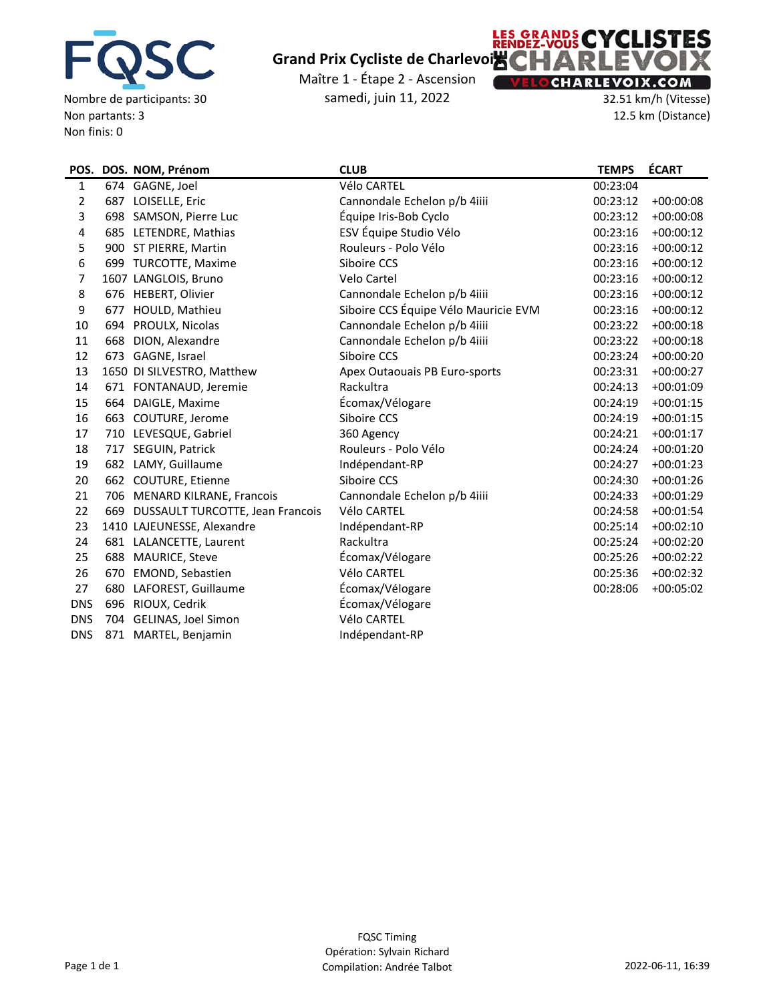![](_page_7_Picture_0.jpeg)

Nombre de participants: 30 Non partants: 3 Non finis: 0

# **Grand Prix Cycliste de Charlevoix**

Maître 1 ‐ Étape 2 ‐ Ascension samedi, juin 11, 2022

## **LES GRANDS CYCLISTES** Ж **CHARLEVOIX.COM**

32.51 km/h (Vitesse) 12.5 km (Distance)

|              |     | POS. DOS. NOM, Prénom                | <b>CLUB</b>                          | <b>TEMPS</b> | <b>ÉCART</b> |
|--------------|-----|--------------------------------------|--------------------------------------|--------------|--------------|
| $\mathbf{1}$ |     | 674 GAGNE, Joel                      | Vélo CARTEL                          | 00:23:04     |              |
| 2            |     | 687 LOISELLE, Eric                   | Cannondale Echelon p/b 4iiii         | 00:23:12     | $+00:00:08$  |
| 3            |     | 698 SAMSON, Pierre Luc               | Équipe Iris-Bob Cyclo                | 00:23:12     | $+00:00:08$  |
| 4            |     | 685 LETENDRE, Mathias                | ESV Équipe Studio Vélo               | 00:23:16     | $+00:00:12$  |
| 5            |     | 900 ST PIERRE, Martin                | Rouleurs - Polo Vélo                 | 00:23:16     | $+00:00:12$  |
| 6            |     | 699 TURCOTTE, Maxime                 | Siboire CCS                          | 00:23:16     | $+00:00:12$  |
| 7            |     | 1607 LANGLOIS, Bruno                 | Velo Cartel                          | 00:23:16     | $+00:00:12$  |
| 8            |     | 676 HEBERT, Olivier                  | Cannondale Echelon p/b 4iiii         | 00:23:16     | $+00:00:12$  |
| 9            |     | 677 HOULD, Mathieu                   | Siboire CCS Équipe Vélo Mauricie EVM | 00:23:16     | $+00:00:12$  |
| 10           |     | 694 PROULX, Nicolas                  | Cannondale Echelon p/b 4iiii         | 00:23:22     | $+00:00:18$  |
| 11           | 668 | DION, Alexandre                      | Cannondale Echelon p/b 4iiii         | 00:23:22     | $+00:00:18$  |
| 12           |     | 673 GAGNE, Israel                    | Siboire CCS                          | 00:23:24     | $+00:00:20$  |
| 13           |     | 1650 DI SILVESTRO, Matthew           | Apex Outaouais PB Euro-sports        | 00:23:31     | $+00:00:27$  |
| 14           |     | 671 FONTANAUD, Jeremie               | Rackultra                            | 00:24:13     | $+00:01:09$  |
| 15           |     | 664 DAIGLE, Maxime                   | Écomax/Vélogare                      | 00:24:19     | $+00:01:15$  |
| 16           |     | 663 COUTURE, Jerome                  | Siboire CCS                          | 00:24:19     | $+00:01:15$  |
| 17           |     | 710 LEVESQUE, Gabriel                | 360 Agency                           | 00:24:21     | $+00:01:17$  |
| 18           |     | 717 SEGUIN, Patrick                  | Rouleurs - Polo Vélo                 | 00:24:24     | $+00:01:20$  |
| 19           |     | 682 LAMY, Guillaume                  | Indépendant-RP                       | 00:24:27     | $+00:01:23$  |
| 20           |     | 662 COUTURE, Etienne                 | Siboire CCS                          | 00:24:30     | $+00:01:26$  |
| 21           |     | 706 MENARD KILRANE, Francois         | Cannondale Echelon p/b 4iiii         | 00:24:33     | $+00:01:29$  |
| 22           |     | 669 DUSSAULT TURCOTTE, Jean Francois | Vélo CARTEL                          | 00:24:58     | $+00:01:54$  |
| 23           |     | 1410 LAJEUNESSE, Alexandre           | Indépendant-RP                       | 00:25:14     | $+00:02:10$  |
| 24           |     | 681 LALANCETTE, Laurent              | Rackultra                            | 00:25:24     | $+00:02:20$  |
| 25           |     | 688 MAURICE, Steve                   | Écomax/Vélogare                      | 00:25:26     | $+00:02:22$  |
| 26           |     | 670 EMOND, Sebastien                 | Vélo CARTEL                          | 00:25:36     | $+00:02:32$  |
| 27           | 680 | LAFOREST, Guillaume                  | Écomax/Vélogare                      | 00:28:06     | $+00:05:02$  |
| <b>DNS</b>   |     | 696 RIOUX, Cedrik                    | Écomax/Vélogare                      |              |              |
| <b>DNS</b>   |     | 704 GELINAS, Joel Simon              | Vélo CARTEL                          |              |              |
| <b>DNS</b>   |     | 871 MARTEL, Benjamin                 | Indépendant-RP                       |              |              |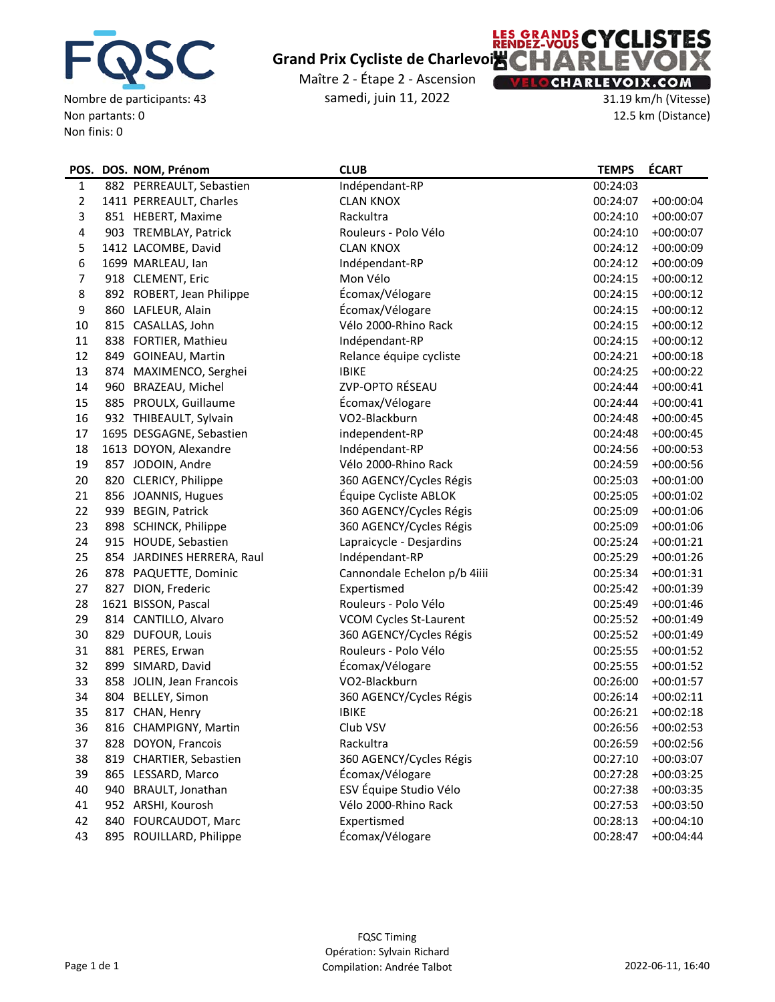![](_page_8_Picture_0.jpeg)

Nombre de participants: 43 Non partants: 0 Non finis: 0

# **Grand Prix Cycliste de Charlevoix**

Maître 2 ‐ Étape 2 ‐ Ascension samedi, juin 11, 2022

![](_page_8_Picture_4.jpeg)

31.19 km/h (Vitesse) 12.5 km (Distance)

|                | POS. DOS. NOM, Prénom      | <b>CLUB</b>                   | <b>TEMPS</b> | <b>ÉCART</b> |
|----------------|----------------------------|-------------------------------|--------------|--------------|
| $\mathbf{1}$   | 882 PERREAULT, Sebastien   | Indépendant-RP                | 00:24:03     |              |
| $\overline{2}$ | 1411 PERREAULT, Charles    | <b>CLAN KNOX</b>              | 00:24:07     | $+00:00:04$  |
| 3              | 851 HEBERT, Maxime         | Rackultra                     | 00:24:10     | $+00:00:07$  |
| 4              | 903 TREMBLAY, Patrick      | Rouleurs - Polo Vélo          | 00:24:10     | $+00:00:07$  |
| 5              | 1412 LACOMBE, David        | <b>CLAN KNOX</b>              | 00:24:12     | $+00:00:09$  |
| 6              | 1699 MARLEAU, Ian          | Indépendant-RP                | 00:24:12     | $+00:00:09$  |
| 7              | 918 CLEMENT, Eric          | Mon Vélo                      | 00:24:15     | $+00:00:12$  |
| 8              | 892 ROBERT, Jean Philippe  | Écomax/Vélogare               | 00:24:15     | $+00:00:12$  |
| 9              | 860 LAFLEUR, Alain         | Écomax/Vélogare               | 00:24:15     | $+00:00:12$  |
| 10             | 815 CASALLAS, John         | Vélo 2000-Rhino Rack          | 00:24:15     | $+00:00:12$  |
| 11             | 838 FORTIER, Mathieu       | Indépendant-RP                | 00:24:15     | $+00:00:12$  |
| 12             | 849 GOINEAU, Martin        | Relance équipe cycliste       | 00:24:21     | $+00:00:18$  |
| 13             | 874 MAXIMENCO, Serghei     | <b>IBIKE</b>                  | 00:24:25     | $+00:00:22$  |
| 14             | 960 BRAZEAU, Michel        | ZVP-OPTO RÉSEAU               | 00:24:44     | $+00:00:41$  |
| 15             | 885 PROULX, Guillaume      | Écomax/Vélogare               | 00:24:44     | $+00:00:41$  |
| 16             | 932 THIBEAULT, Sylvain     | VO2-Blackburn                 | 00:24:48     | $+00:00:45$  |
| 17             | 1695 DESGAGNE, Sebastien   | independent-RP                | 00:24:48     | $+00:00:45$  |
| 18             | 1613 DOYON, Alexandre      | Indépendant-RP                | 00:24:56     | $+00:00:53$  |
| 19             | 857 JODOIN, Andre          | Vélo 2000-Rhino Rack          | 00:24:59     | $+00:00:56$  |
| 20             | 820 CLERICY, Philippe      | 360 AGENCY/Cycles Régis       | 00:25:03     | $+00:01:00$  |
| 21             | 856 JOANNIS, Hugues        | Équipe Cycliste ABLOK         | 00:25:05     | $+00:01:02$  |
| 22             | 939 BEGIN, Patrick         | 360 AGENCY/Cycles Régis       | 00:25:09     | $+00:01:06$  |
| 23             | 898 SCHINCK, Philippe      | 360 AGENCY/Cycles Régis       | 00:25:09     | $+00:01:06$  |
| 24             | 915 HOUDE, Sebastien       | Lapraicycle - Desjardins      | 00:25:24     | $+00:01:21$  |
| 25             | 854 JARDINES HERRERA, Raul | Indépendant-RP                | 00:25:29     | $+00:01:26$  |
| 26             | 878 PAQUETTE, Dominic      | Cannondale Echelon p/b 4iiii  | 00:25:34     | $+00:01:31$  |
| 27             | 827 DION, Frederic         | Expertismed                   | 00:25:42     | $+00:01:39$  |
| 28             | 1621 BISSON, Pascal        | Rouleurs - Polo Vélo          | 00:25:49     | $+00:01:46$  |
| 29             | 814 CANTILLO, Alvaro       | <b>VCOM Cycles St-Laurent</b> | 00:25:52     | $+00:01:49$  |
| 30             | 829 DUFOUR, Louis          | 360 AGENCY/Cycles Régis       | 00:25:52     | $+00:01:49$  |
| 31             | 881 PERES, Erwan           | Rouleurs - Polo Vélo          | 00:25:55     | $+00:01:52$  |
| 32             | 899 SIMARD, David          | Écomax/Vélogare               | 00:25:55     | $+00:01:52$  |
| 33             | 858 JOLIN, Jean Francois   | VO2-Blackburn                 | 00:26:00     | $+00:01:57$  |
| 34             | 804 BELLEY, Simon          | 360 AGENCY/Cycles Régis       | 00:26:14     | $+00:02:11$  |
| 35             | 817 CHAN, Henry            | <b>IBIKE</b>                  | 00:26:21     | $+00:02:18$  |
| 36             | 816 CHAMPIGNY, Martin      | Club VSV                      | 00:26:56     | $+00:02:53$  |
| 37             | 828 DOYON, Francois        | Rackultra                     | 00:26:59     | $+00:02:56$  |
| 38             | 819 CHARTIER, Sebastien    | 360 AGENCY/Cycles Régis       | 00:27:10     | $+00:03:07$  |
| 39             | 865 LESSARD, Marco         | Écomax/Vélogare               | 00:27:28     | $+00:03:25$  |
| 40             | 940 BRAULT, Jonathan       | ESV Équipe Studio Vélo        | 00:27:38     | $+00:03:35$  |
| 41             | 952 ARSHI, Kourosh         | Vélo 2000-Rhino Rack          | 00:27:53     | $+00:03:50$  |
| 42             | 840 FOURCAUDOT, Marc       | Expertismed                   | 00:28:13     | $+00:04:10$  |
| 43             | 895 ROUILLARD, Philippe    | Écomax/Vélogare               | 00:28:47     | $+00:04:44$  |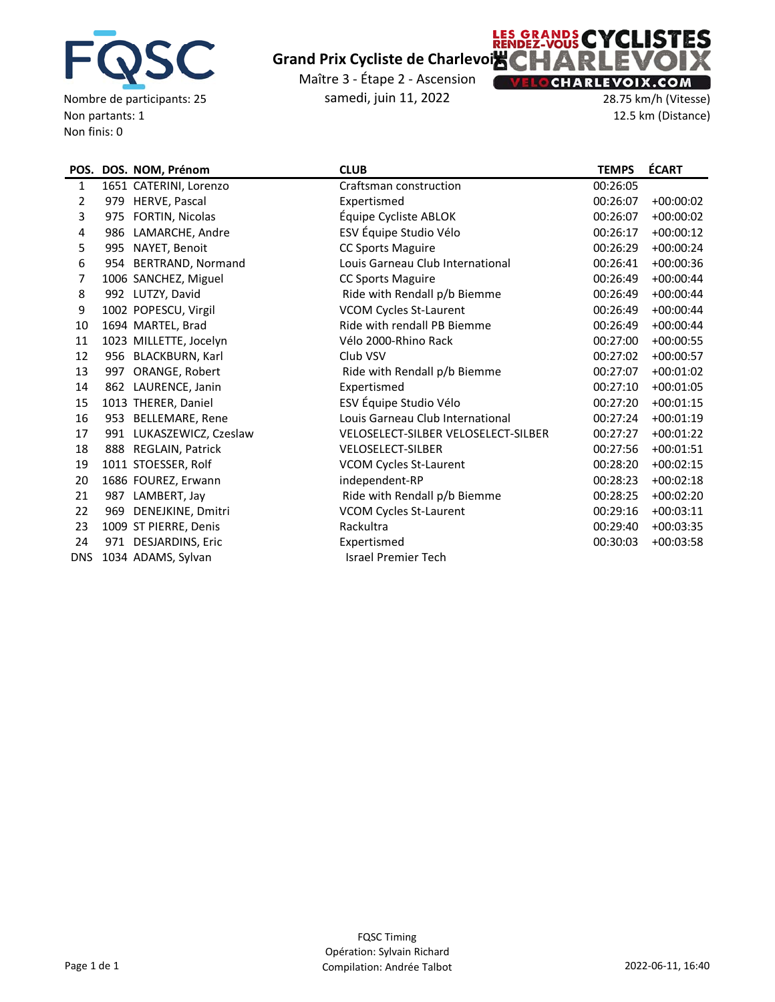![](_page_9_Picture_0.jpeg)

Nombre de participants: 25 Non partants: 1 Non finis: 0

# **Grand Prix Cycliste de Charlevoix**

Maître 3 ‐ Étape 2 ‐ Ascension samedi, juin 11, 2022

## **LES GRANDS CYCLISTES** X **CHARLEVOIX.COM**

28.75 km/h (Vitesse) 12.5 km (Distance)

|                |     | POS. DOS. NOM, Prénom    | <b>CLUB</b>                         | <b>TEMPS</b> | <b>ÉCART</b> |
|----------------|-----|--------------------------|-------------------------------------|--------------|--------------|
| 1              |     | 1651 CATERINI, Lorenzo   | Craftsman construction              | 00:26:05     |              |
| $\overline{2}$ |     | 979 HERVE, Pascal        | Expertismed                         | 00:26:07     | $+00:00:02$  |
| 3              | 975 | FORTIN, Nicolas          | Équipe Cycliste ABLOK               | 00:26:07     | $+00:00:02$  |
| 4              | 986 | LAMARCHE, Andre          | ESV Équipe Studio Vélo              | 00:26:17     | $+00:00:12$  |
| 5              | 995 | NAYET, Benoit            | CC Sports Maguire                   | 00:26:29     | $+00:00:24$  |
| 6              |     | 954 BERTRAND, Normand    | Louis Garneau Club International    | 00:26:41     | $+00:00:36$  |
| 7              |     | 1006 SANCHEZ, Miguel     | <b>CC Sports Maguire</b>            | 00:26:49     | $+00:00:44$  |
| 8              |     | 992 LUTZY, David         | Ride with Rendall p/b Biemme        | 00:26:49     | $+00:00:44$  |
| 9              |     | 1002 POPESCU, Virgil     | <b>VCOM Cycles St-Laurent</b>       | 00:26:49     | $+00:00:44$  |
| 10             |     | 1694 MARTEL, Brad        | Ride with rendall PB Biemme         | 00:26:49     | $+00:00:44$  |
| 11             |     | 1023 MILLETTE, Jocelyn   | Vélo 2000-Rhino Rack                | 00:27:00     | $+00:00:55$  |
| 12             |     | 956 BLACKBURN, Karl      | Club VSV                            | 00:27:02     | $+00:00:57$  |
| 13             | 997 | ORANGE, Robert           | Ride with Rendall p/b Biemme        | 00:27:07     | $+00:01:02$  |
| 14             |     | 862 LAURENCE, Janin      | Expertismed                         | 00:27:10     | $+00:01:05$  |
| 15             |     | 1013 THERER, Daniel      | ESV Équipe Studio Vélo              | 00:27:20     | $+00:01:15$  |
| 16             |     | 953 BELLEMARE, Rene      | Louis Garneau Club International    | 00:27:24     | $+00:01:19$  |
| 17             |     | 991 LUKASZEWICZ, Czeslaw | VELOSELECT-SILBER VELOSELECT-SILBER | 00:27:27     | $+00:01:22$  |
| 18             |     | 888 REGLAIN, Patrick     | <b>VELOSELECT-SILBER</b>            | 00:27:56     | $+00:01:51$  |
| 19             |     | 1011 STOESSER, Rolf      | <b>VCOM Cycles St-Laurent</b>       | 00:28:20     | $+00:02:15$  |
| 20             |     | 1686 FOUREZ, Erwann      | independent-RP                      | 00:28:23     | $+00:02:18$  |
| 21             |     | 987 LAMBERT, Jay         | Ride with Rendall p/b Biemme        | 00:28:25     | $+00:02:20$  |
| 22             |     | 969 DENEJKINE, Dmitri    | <b>VCOM Cycles St-Laurent</b>       | 00:29:16     | $+00:03:11$  |
| 23             |     | 1009 ST PIERRE, Denis    | Rackultra                           | 00:29:40     | $+00:03:35$  |
| 24             |     | 971 DESJARDINS, Eric     | Expertismed                         | 00:30:03     | $+00:03:58$  |
| <b>DNS</b>     |     | 1034 ADAMS, Sylvan       | <b>Israel Premier Tech</b>          |              |              |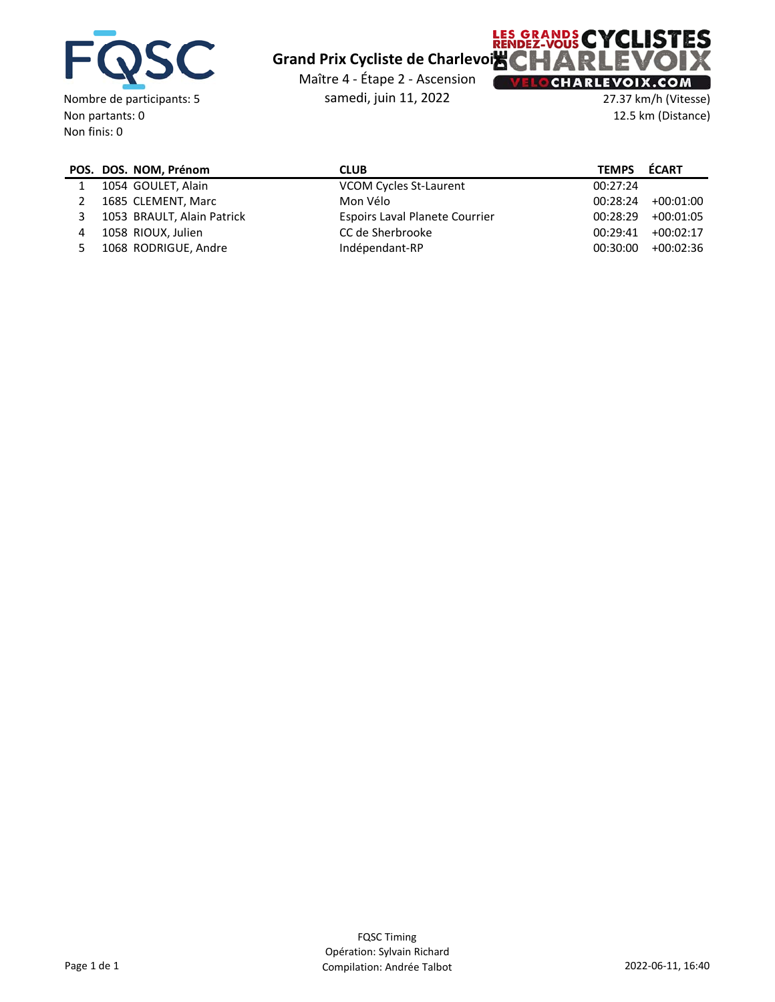![](_page_10_Picture_0.jpeg)

Non partants: 0 Non finis: 0

# **Grand Prix Cycliste de Charlevoix**

Maître 4 ‐ Étape 2 ‐ Ascension samedi, juin 11, 2022

## **LES GRANDS CYCLISTES** X **CHARLEVOIX.COM**

27.37 km/h (Vitesse) 12.5 km (Distance)

|   | POS. DOS. NOM, Prénom      | <b>CLUB</b>                           | <b>TEMPS</b> | ÉCART       |
|---|----------------------------|---------------------------------------|--------------|-------------|
|   | 1054 GOULET, Alain         | VCOM Cycles St-Laurent                | 00:27:24     |             |
|   | 1685 CLEMENT, Marc         | Mon Vélo                              | 00:28:24     | +00:01:00   |
|   | 1053 BRAULT, Alain Patrick | <b>Espoirs Laval Planete Courrier</b> | 00:28:29     | $+00:01:05$ |
| 4 | 1058 RIOUX, Julien         | CC de Sherbrooke                      | 00:29:41     | $+00:02:17$ |
|   | 1068 RODRIGUE, Andre       | Indépendant-RP                        | 00:30:00     | $+00:02:36$ |
|   |                            |                                       |              |             |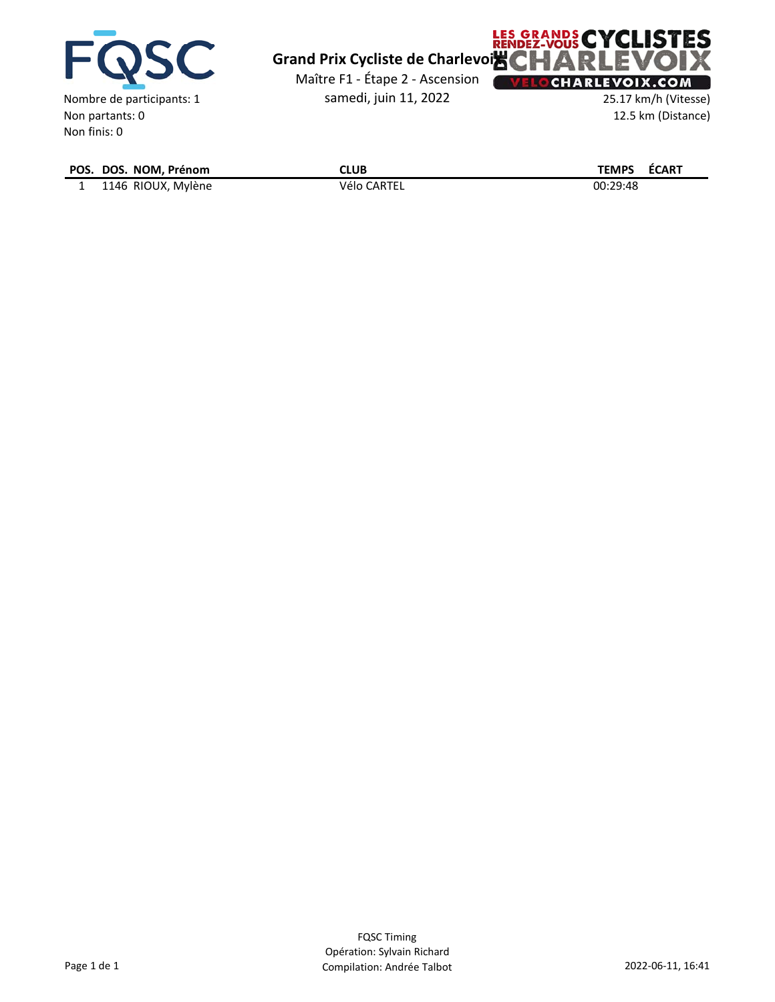![](_page_11_Picture_0.jpeg)

Non finis: 0

![](_page_11_Picture_1.jpeg)

Maître F1 ‐ Étape 2 ‐ Ascension samedi, juin 11, 2022

![](_page_11_Picture_3.jpeg)

25.17 km/h (Vitesse) 12.5 km (Distance)

| POS. DOS. NOM, Prénom | CLUB        | ÉCART<br><b>TEMPS</b> |
|-----------------------|-------------|-----------------------|
| 1146 RIOUX, Mylène    | Vélo CARTEL | 00:29:48              |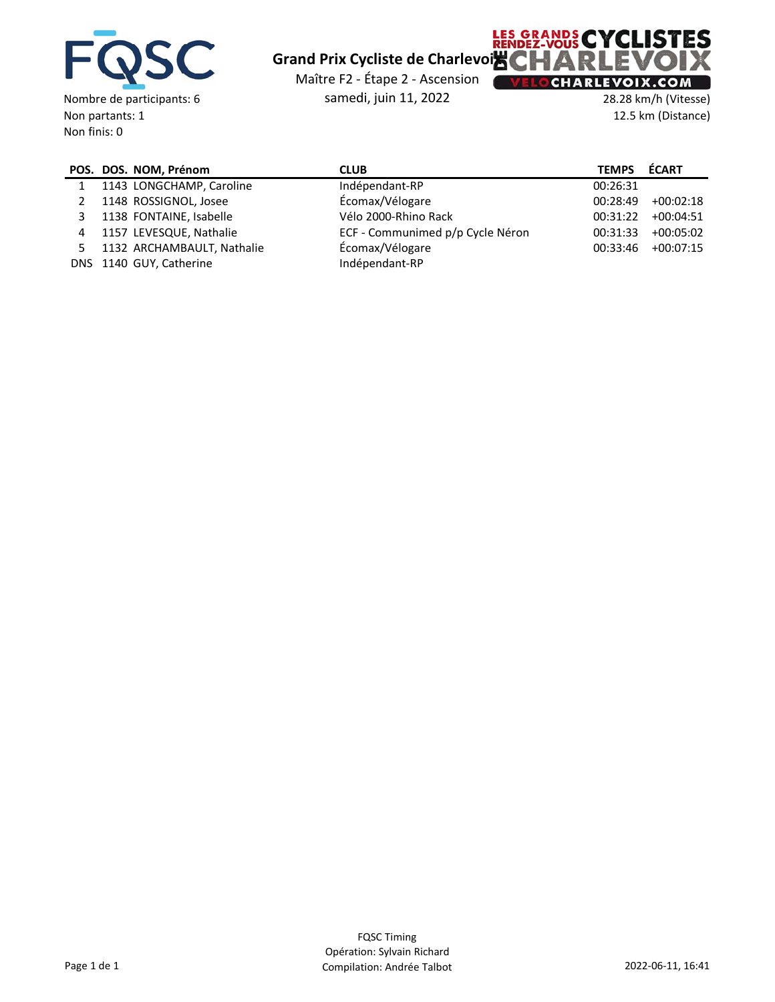![](_page_12_Picture_0.jpeg)

Non finis: 0

## **Grand Prix Cycliste de Charlevoix**

Maître F2 ‐ Étape 2 ‐ Ascension

samedi, juin 11, 2022

#### **CHARLEVOIX.COM** 28.28 km/h (Vitesse)

**LES GRANDS CYCLISTES** 

12.5 km (Distance)

Ж

|   | POS. DOS. NOM, Prénom      | <b>CLUB</b>                      | <b>TEMPS</b> | <b>ÉCART</b> |
|---|----------------------------|----------------------------------|--------------|--------------|
|   | 1143 LONGCHAMP, Caroline   | Indépendant-RP                   | 00:26:31     |              |
|   | 1148 ROSSIGNOL, Josee      | Écomax/Vélogare                  | 00:28:49     | $+00:02:18$  |
| 3 | 1138 FONTAINE, Isabelle    | Vélo 2000-Rhino Rack             | 00:31:22     | $+00:04:51$  |
| 4 | 1157 LEVESQUE, Nathalie    | ECF - Communimed p/p Cycle Néron | 00:31:33     | $+00:05:02$  |
|   | 1132 ARCHAMBAULT, Nathalie | Écomax/Vélogare                  | 00:33:46     | $+00:07:15$  |
|   | DNS 1140 GUY, Catherine    | Indépendant-RP                   |              |              |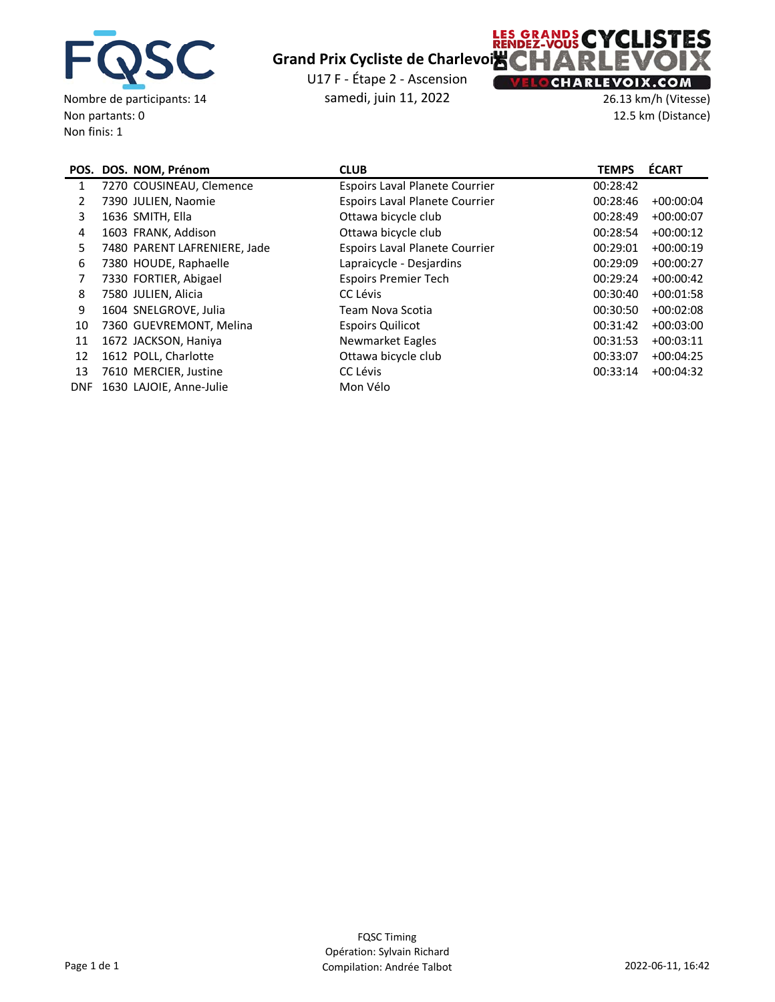![](_page_13_Picture_0.jpeg)

Non partants: 0 Non finis: 1

#### **Grand Prix Cycliste de Charlevoix**

U17 F ‐ Étape 2 ‐ Ascension samedi, juin 11, 2022

![](_page_13_Picture_3.jpeg)

26.13 km/h (Vitesse) 12.5 km (Distance)

|            | POS. DOS. NOM, Prénom        | <b>CLUB</b>                           | <b>TEMPS</b> | <b>ÉCART</b> |
|------------|------------------------------|---------------------------------------|--------------|--------------|
| 1          | 7270 COUSINEAU, Clemence     | <b>Espoirs Laval Planete Courrier</b> | 00:28:42     |              |
| 2          | 7390 JULIEN, Naomie          | <b>Espoirs Laval Planete Courrier</b> | 00:28:46     | $+00:00:04$  |
| 3          | 1636 SMITH, Ella             | Ottawa bicycle club                   | 00:28:49     | $+00:00:07$  |
| 4          | 1603 FRANK, Addison          | Ottawa bicycle club                   | 00:28:54     | $+00:00:12$  |
| 5          | 7480 PARENT LAFRENIERE, Jade | <b>Espoirs Laval Planete Courrier</b> | 00:29:01     | $+00:00:19$  |
| 6          | 7380 HOUDE, Raphaelle        | Lapraicycle - Desjardins              | 00:29:09     | $+00:00:27$  |
| 7          | 7330 FORTIER, Abigael        | <b>Espoirs Premier Tech</b>           | 00:29:24     | $+00:00:42$  |
| 8          | 7580 JULIEN, Alicia          | CC Lévis                              | 00:30:40     | $+00:01:58$  |
| 9          | 1604 SNELGROVE, Julia        | Team Nova Scotia                      | 00:30:50     | $+00:02:08$  |
| 10         | 7360 GUEVREMONT, Melina      | <b>Espoirs Quilicot</b>               | 00:31:42     | $+00:03:00$  |
| 11         | 1672 JACKSON, Haniya         | Newmarket Eagles                      | 00:31:53     | $+00:03:11$  |
| 12         | 1612 POLL, Charlotte         | Ottawa bicycle club                   | 00:33:07     | $+00:04:25$  |
| 13         | 7610 MERCIER, Justine        | CC Lévis                              | 00:33:14     | $+00:04:32$  |
| <b>DNF</b> | 1630 LAJOIE, Anne-Julie      | Mon Vélo                              |              |              |